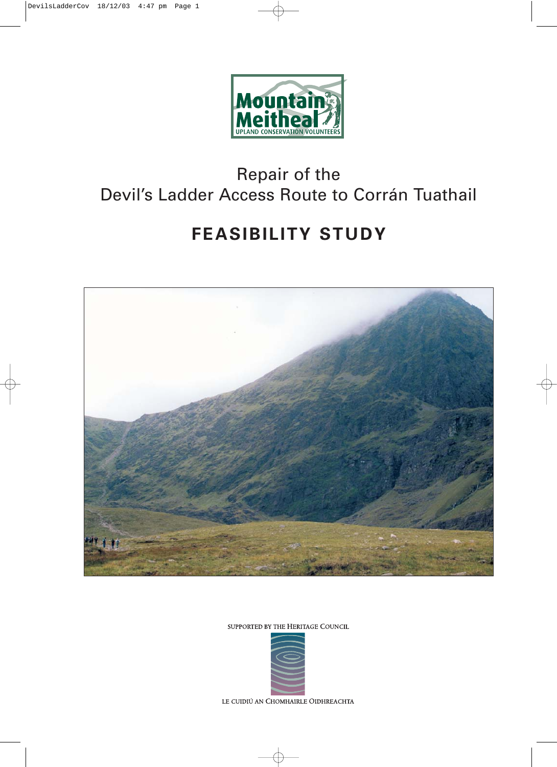

## Repair of the Devil's Ladder Access Route to Corrán Tuathail

# **FEASIBILITY STUDY**



SUPPORTED BY THE HERITAGE COUNCIL



LE CUIDIÚ AN CHOMHAIRLE OIDHREACHTA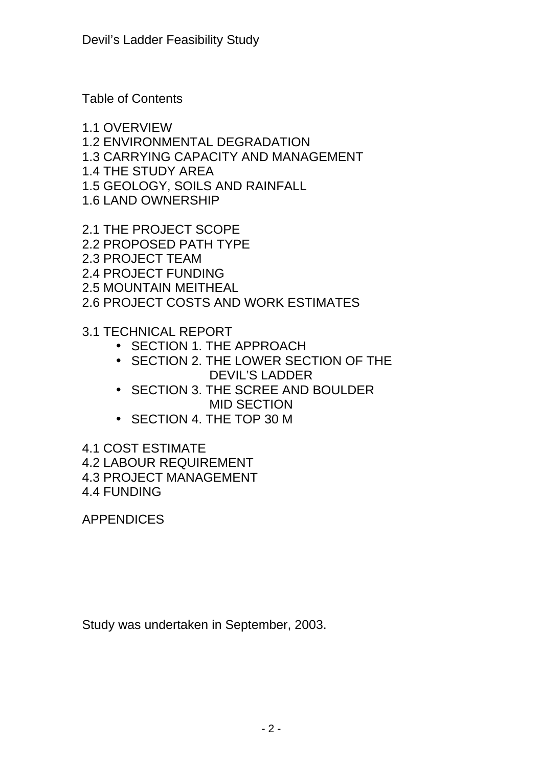Table of Contents

1.1 OVERVIEW 1.2 ENVIRONMENTAL DEGRADATION 1.3 CARRYING CAPACITY AND MANAGEMENT 1.4 THE STUDY AREA 1.5 GEOLOGY, SOILS AND RAINFALL 1.6 LAND OWNERSHIP

2.1 THE PROJECT SCOPE 2.2 PROPOSED PATH TYPE 2.3 PROJECT TEAM 2.4 PROJECT FUNDING 2.5 MOUNTAIN MEITHEAL 2.6 PROJECT COSTS AND WORK ESTIMATES

3.1 TECHNICAL REPORT

- SECTION 1. THE APPROACH
- SECTION 2. THE LOWER SECTION OF THE DEVIL'S LADDER
- SECTION 3. THE SCREE AND BOULDER MID SECTION
- SECTION 4. THE TOP 30 M

4.1 COST ESTIMATE

4.2 LABOUR REQUIREMENT

4.3 PROJECT MANAGEMENT

4.4 FUNDING

APPENDICES

Study was undertaken in September, 2003.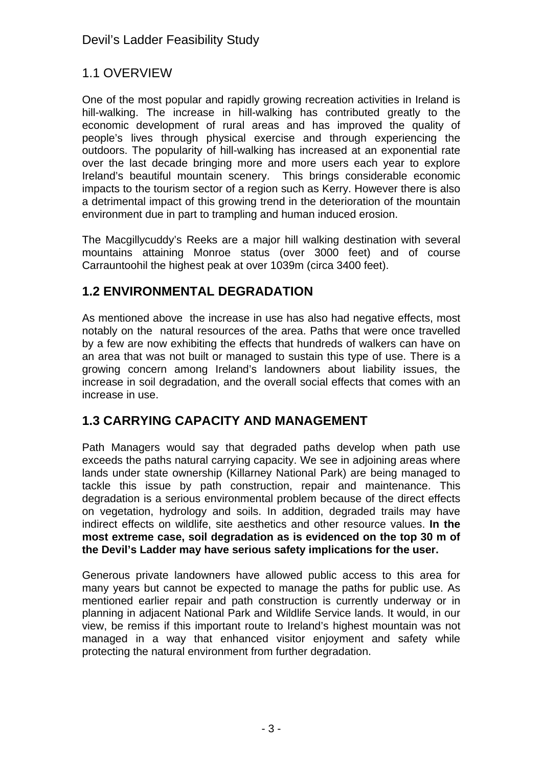## 1.1 OVERVIEW

One of the most popular and rapidly growing recreation activities in Ireland is hill-walking. The increase in hill-walking has contributed greatly to the economic development of rural areas and has improved the quality of people's lives through physical exercise and through experiencing the outdoors. The popularity of hill-walking has increased at an exponential rate over the last decade bringing more and more users each year to explore Ireland's beautiful mountain scenery. This brings considerable economic impacts to the tourism sector of a region such as Kerry. However there is also a detrimental impact of this growing trend in the deterioration of the mountain environment due in part to trampling and human induced erosion.

The Macgillycuddy's Reeks are a major hill walking destination with several mountains attaining Monroe status (over 3000 feet) and of course Carrauntoohil the highest peak at over 1039m (circa 3400 feet).

## **1.2 ENVIRONMENTAL DEGRADATION**

As mentioned above the increase in use has also had negative effects, most notably on the natural resources of the area. Paths that were once travelled by a few are now exhibiting the effects that hundreds of walkers can have on an area that was not built or managed to sustain this type of use. There is a growing concern among Ireland's landowners about liability issues, the increase in soil degradation, and the overall social effects that comes with an increase in use.

## **1.3 CARRYING CAPACITY AND MANAGEMENT**

Path Managers would say that degraded paths develop when path use exceeds the paths natural carrying capacity. We see in adjoining areas where lands under state ownership (Killarney National Park) are being managed to tackle this issue by path construction, repair and maintenance. This degradation is a serious environmental problem because of the direct effects on vegetation, hydrology and soils. In addition, degraded trails may have indirect effects on wildlife, site aesthetics and other resource values. **In the most extreme case, soil degradation as is evidenced on the top 30 m of the Devil's Ladder may have serious safety implications for the user.**

Generous private landowners have allowed public access to this area for many years but cannot be expected to manage the paths for public use. As mentioned earlier repair and path construction is currently underway or in planning in adjacent National Park and Wildlife Service lands. It would, in our view, be remiss if this important route to Ireland's highest mountain was not managed in a way that enhanced visitor enjoyment and safety while protecting the natural environment from further degradation.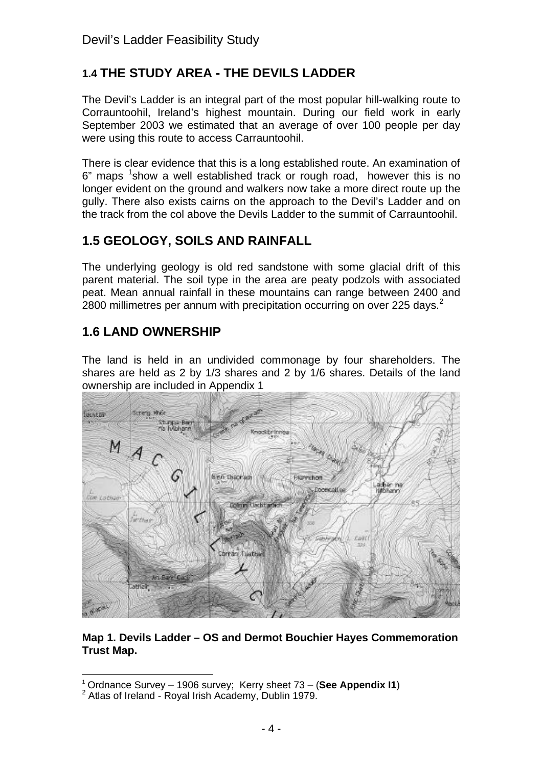## **1.4 THE STUDY AREA - THE DEVILS LADDER**

The Devil's Ladder is an integral part of the most popular hill-walking route to Corrauntoohil, Ireland's highest mountain. During our field work in early September 2003 we estimated that an average of over 100 people per day were using this route to access Carrauntoohil.

There is clear evidence that this is a long established route. An examination of  $6"$  maps  $1$ show a well established track or rough road, however this is no longer evident on the ground and walkers now take a more direct route up the gully. There also exists cairns on the approach to the Devil's Ladder and on the track from the col above the Devils Ladder to the summit of Carrauntoohil.

#### **1.5 GEOLOGY, SOILS AND RAINFALL**

The underlying geology is old red sandstone with some glacial drift of this parent material. The soil type in the area are peaty podzols with associated peat. Mean annual rainfall in these mountains can range between 2400 and 2800 millimetres per annum with precipitation occurring on over 225 days. $2^2$ 

## **1.6 LAND OWNERSHIP**

The land is held in an undivided commonage by four shareholders. The shares are held as 2 by 1/3 shares and 2 by 1/6 shares. Details of the land ownership are included in Appendix 1



**Map 1. Devils Ladder – OS and Dermot Bouchier Hayes Commemoration Trust Map.**

l <sup>1</sup> Ordnance Survey – 1906 survey; Kerry sheet 73 – (**See Appendix I1**)

<sup>&</sup>lt;sup>2</sup> Atlas of Ireland - Royal Irish Academy, Dublin 1979.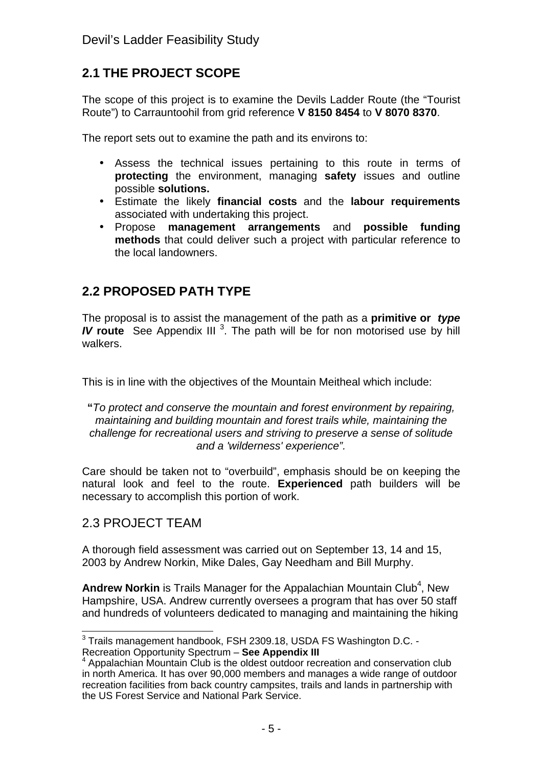## **2.1 THE PROJECT SCOPE**

The scope of this project is to examine the Devils Ladder Route (the "Tourist Route") to Carrauntoohil from grid reference **V 8150 8454** to **V 8070 8370**.

The report sets out to examine the path and its environs to:

- Assess the technical issues pertaining to this route in terms of **protecting** the environment, managing **safety** issues and outline possible **solutions.**
- Estimate the likely **financial costs** and the **labour requirements** associated with undertaking this project.
- Propose **management arrangements** and **possible funding methods** that could deliver such a project with particular reference to the local landowners.

## **2.2 PROPOSED PATH TYPE**

The proposal is to assist the management of the path as a **primitive or** *type* **IV** route See Appendix III<sup>3</sup>. The path will be for non motorised use by hill walkers.

This is in line with the objectives of the Mountain Meitheal which include:

**"***To protect and conserve the mountain and forest environment by repairing, maintaining and building mountain and forest trails while, maintaining the challenge for recreational users and striving to preserve a sense of solitude and a 'wilderness' experience".*

Care should be taken not to "overbuild", emphasis should be on keeping the natural look and feel to the route. **Experienced** path builders will be necessary to accomplish this portion of work.

#### 2.3 PROJECT TEAM

A thorough field assessment was carried out on September 13, 14 and 15, 2003 by Andrew Norkin, Mike Dales, Gay Needham and Bill Murphy.

Andrew Norkin is Trails Manager for the Appalachian Mountain Club<sup>4</sup>, New Hampshire, USA. Andrew currently oversees a program that has over 50 staff and hundreds of volunteers dedicated to managing and maintaining the hiking

\_\_\_\_\_\_\_\_\_\_\_\_\_\_\_\_\_\_\_\_\_\_\_\_\_\_\_\_\_\_\_\_\_\_<br><sup>3</sup> Trails management handbook, FSH 2309.18, USDA FS Washington D.C. -

Recreation Opportunity Spectrum – **See Appendix III**

<sup>&</sup>lt;sup>4</sup> Appalachian Mountain Club is the oldest outdoor recreation and conservation club in north America. It has over 90,000 members and manages a wide range of outdoor recreation facilities from back country campsites, trails and lands in partnership with the US Forest Service and National Park Service.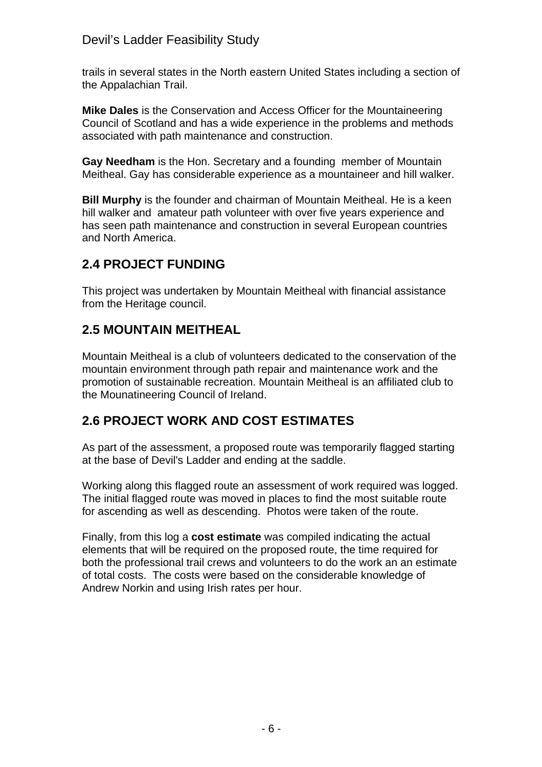#### Devil's Ladder Feasibility Study

trails in several states in the North eastern United States including a section of the Appalachian Trail.

**Mike Dales** is the Conservation and Access Officer for the Mountaineering Council of Scotland and has a wide experience in the problems and methods associated with path maintenance and construction.

**Gay Needham** is the Hon. Secretary and a founding member of Mountain Meitheal. Gay has considerable experience as a mountaineer and hill walker.

**Bill Murphy** is the founder and chairman of Mountain Meitheal. He is a keen hill walker and amateur path volunteer with over five years experience and has seen path maintenance and construction in several European countries and North America.

## **2.4 PROJECT FUNDING**

This project was undertaken by Mountain Meitheal with financial assistance from the Heritage council.

## **2.5 MOUNTAIN MEITHEAL**

Mountain Meitheal is a club of volunteers dedicated to the conservation of the mountain environment through path repair and maintenance work and the promotion of sustainable recreation. Mountain Meitheal is an affiliated club to the Mounatineering Council of Ireland.

## **2.6 PROJECT WORK AND COST ESTIMATES**

As part of the assessment, a proposed route was temporarily flagged starting at the base of Devil's Ladder and ending at the saddle.

Working along this flagged route an assessment of work required was logged. The initial flagged route was moved in places to find the most suitable route for ascending as well as descending. Photos were taken of the route.

Finally, from this log a **cost estimate** was compiled indicating the actual elements that will be required on the proposed route, the time required for both the professional trail crews and volunteers to do the work an an estimate of total costs. The costs were based on the considerable knowledge of Andrew Norkin and using Irish rates per hour.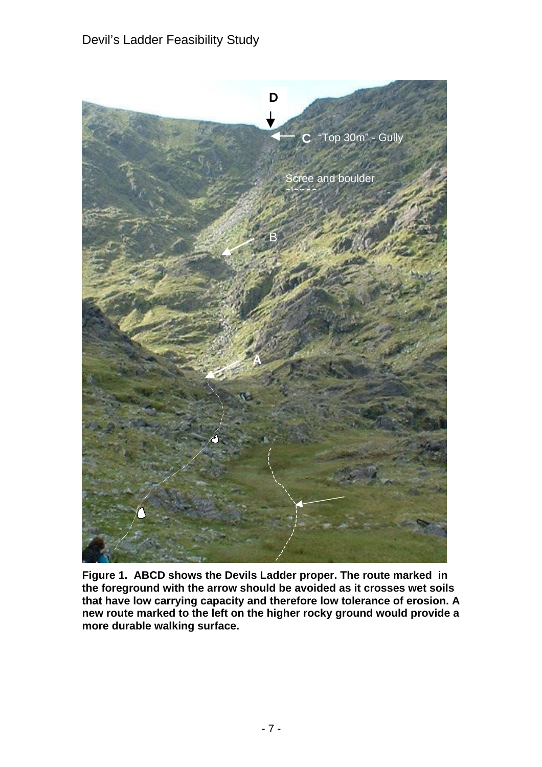

**Figure 1. ABCD shows the Devils Ladder proper. The route marked in the foreground with the arrow should be avoided as it crosses wet soils that have low carrying capacity and therefore low tolerance of erosion. A new route marked to the left on the higher rocky ground would provide a more durable walking surface.**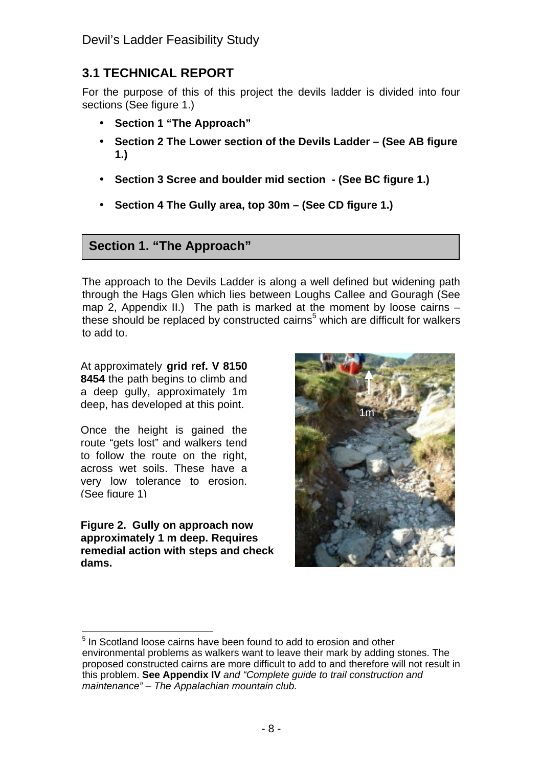## **3.1 TECHNICAL REPORT**

For the purpose of this of this project the devils ladder is divided into four sections (See figure 1.)

- **Section 1 "The Approach"**
- **Section 2 The Lower section of the Devils Ladder (See AB figure 1.)**
- **Section 3 Scree and boulder mid section (See BC figure 1.)**
- **Section 4 The Gully area, top 30m (See CD figure 1.)**

#### **Section 1. "The Approach"**

The approach to the Devils Ladder is along a well defined but widening path through the Hags Glen which lies between Loughs Callee and Gouragh (See map 2, Appendix II.) The path is marked at the moment by loose cairns these should be replaced by constructed cairns<sup>5</sup> which are difficult for walkers to add to.

At approximately **grid ref. V 8150 8454** the path begins to climb and a deep gully, approximately 1m deep, has developed at this point.

Once the height is gained the route "gets lost" and walkers tend to follow the route on the right, across wet soils. These have a very low tolerance to erosion. (See figure 1)

**Figure 2. Gully on approach now approximately 1 m deep. Requires remedial action with steps and check dams.**



 <sup>5</sup> In Scotland loose cairns have been found to add to erosion and other environmental problems as walkers want to leave their mark by adding stones. The proposed constructed cairns are more difficult to add to and therefore will not result in this problem. **See Appendix IV** *and "Complete guide to trail construction and maintenance" – The Appalachian mountain club.*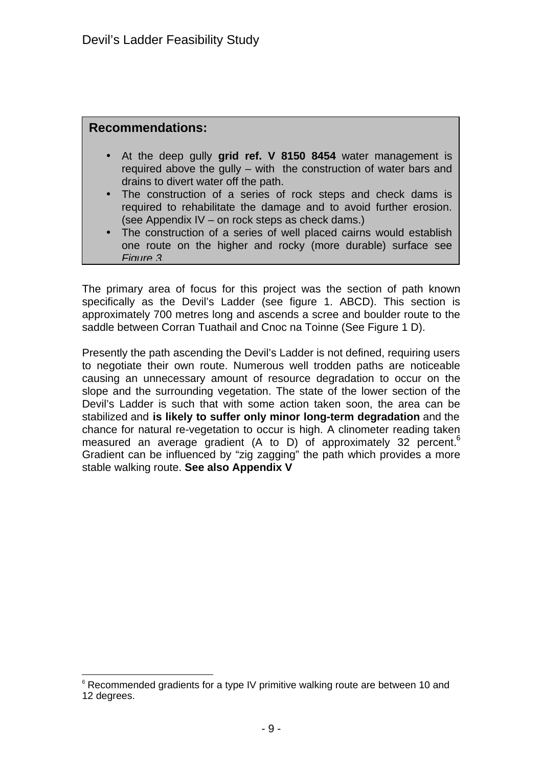#### **Recommendations:**

- At the deep gully **grid ref. V 8150 8454** water management is required above the gully – with the construction of water bars and drains to divert water off the path.
- The construction of a series of rock steps and check dams is required to rehabilitate the damage and to avoid further erosion. (see Appendix IV – on rock steps as check dams.)
- **Example Institute Ladder Strates Construction of a series of well placed cairns would establish**<br>
The construction of a series of well placed cairns would establish one route on the higher and rocky (more durable) surface see *Figure 3.*

The primary area of focus for this project was the section of path known specifically as the Devil's Ladder (see figure 1. ABCD). This section is approximately 700 metres long and ascends a scree and boulder route to the saddle between Corran Tuathail and Cnoc na Toinne (See Figure 1 D).

Presently the path ascending the Devil's Ladder is not defined, requiring users to negotiate their own route. Numerous well trodden paths are noticeable causing an unnecessary amount of resource degradation to occur on the slope and the surrounding vegetation. The state of the lower section of the Devil's Ladder is such that with some action taken soon, the area can be stabilized and **is likely to suffer only minor long-term degradation** and the chance for natural re-vegetation to occur is high. A clinometer reading taken measured an average gradient (A to D) of approximately 32 percent.<sup>6</sup> Gradient can be influenced by "zig zagging" the path which provides a more stable walking route. **See also Appendix V**

l  $6$  Recommended gradients for a type IV primitive walking route are between 10 and 12 degrees.